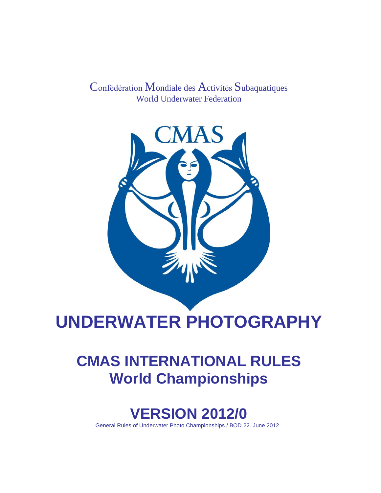Confédération Mondiale des Activités Subaquatiques World Underwater Federation



# **UNDERWATER PHOTOGRAPHY**

## **CMAS INTERNATIONAL RULES World Championships**

### **VERSION 2012/0**

General Rules of Underwater Photo Championships / BOD 22. June 2012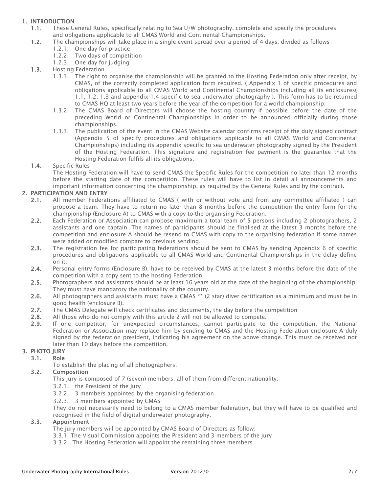### 1. INTRODUCTION

- 1.1. These General Rules, specifically relating to Sea U/W photography, complete and specify the procedures and obligations applicable to all CMAS World and Continental Championships.
- 1.2. The championships will take place in a single event spread over a period of 4 days, divided as follows
	- 1.2.1. One day for practice
	- 1.2.2. Two days of competition
	- 1.2.3. One day for judging
- 1.3. Hosting Federation
	- 1.3.1. The right to organise the championship will be granted to the Hosting Federation only after receipt, by CMAS, of the correctly completed application form required, ( Appendix 1 of specific procedures and obligations applicable to all CMAS World and Continental Championships including all its enclosures( 1.1, 1.2, 1.3 and appendix 1.4 specific to sea underwater photography ). This form has to be returned to CMAS HQ at least two years before the year of the competition for a world championship.
	- 1.3.2. The CMAS Board of Directors will choose the hosting country if possible before the date of the preceding World or Continental Championships in order to be announced officially during those championships.
	- 1.3.3. The publication of the event in the CMAS Website calendar confirms receipt of the duly signed contract (Appendix 5 of specify procedures and obligations applicable to all CMAS World and Continental Championships) including its appendix specific to sea underwater photography signed by the President of the Hosting Federation. This signature and registration fee payment is the guarantee that the Hosting Federation fulfils all its obligations.

#### 1.4. Specific Rules

The Hosting Federation will have to send CMAS the Specific Rules for the competition no later than 12 months before the starting date of the competition. These rules will have to list in detail all announcements and important information concerning the championship, as required by the General Rules and by the contract.

#### 2. PARTICIPATION AND ENTRY

- 2.1. All member Federations affiliated to CMAS ( with or without vote and from any committee affiliated ) can propose a team. They have to return no later than 8 months before the competition the entry form for the championship (Enclosure A) to CMAS with a copy to the organising Federation.
- 2.2. Each Federation or Association can propose maximum a total team of 5 persons including 2 photographers, 2 assistants and one captain. The names of participants should be finalised at the latest 3 months before the competition and enclosure A should be resend to CMAS with copy to the organising federation if some names were added or modified compare to previous sending.
- 2.3. The registration fee for participating federations should be sent to CMAS by sending Appendix 6 of specific procedures and obligations applicable to all CMAS World and Continental Championships in the delay define on it.
- 2.4. Personal entry forms (Enclosure B), have to be received by CMAS at the latest 3 months before the date of the competition with a copy sent to the hosting Federation.
- 2.5. Photographers and assistants should be at least 16 years old at the date of the beginning of the championship. They must have mandatory the nationality of the country.
- 2.6. All photographers and assistants must have a CMAS \*\* (2 star) diver certification as a minimum and must be in good health (enclosure B).
- 2.7. The CMAS Delegate will check certificates and documents, the day before the competition
- 2.8. All those who do not comply with this article 2 will not be allowed to compete.
- 2.9. If one competitor, for unexpected circumstances, cannot participate to the competition, the National Federation or Association may replace him by sending to CMAS and the Hosting Federation enclosure A duly signed by the federation president, indicating his agreement on the above change. This must be received not later than 10 days before the competition.

#### 3. PHOTO JURY

#### 3.1. Role

To establish the placing of all photographers.

#### 3.2. Composition

This jury is composed of 7 (seven) members, all of them from different nationality:

- 3.2.1. the President of the Jury
- 3.2.2. 3 members appointed by the organising federation
- 3.2.3. 3 members appointed by CMAS

They do not necessarily need to belong to a CMAS member federation, but they will have to be qualified and recognised in the field of digital underwater photography.

#### 3.3. Appointment

The jury members will be appointed by CMAS Board of Directors as follow:

- 3.3.1 The Visual Commission appoints the President and 3 members of the jury
- 3.3.2 The Hosting Federation will appoint the remaining three members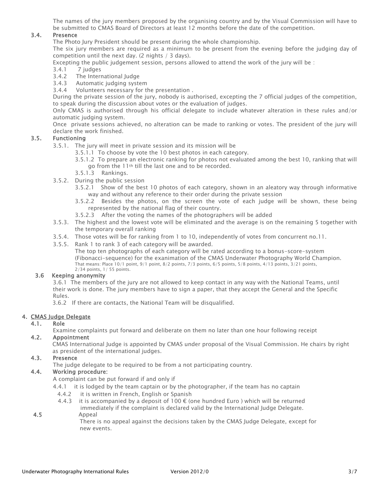The names of the jury members proposed by the organising country and by the Visual Commission will have to be submitted to CMAS Board of Directors at least 12 months before the date of the competition.

#### 3.4. Presence

The Photo Jury President should be present during the whole championship.

The six jury members are required as a minimum to be present from the evening before the judging day of competition until the next day. (2 nights / 3 days).

Excepting the public judgement session, persons allowed to attend the work of the jury will be :

- 3.4.1 7 judges
- 3.4.2 The International Judge
- 3.4.3 Automatic judging system
- 3.4.4 Volunteers necessary for the presentation .

During the private session of the jury, nobody is authorised, excepting the 7 official judges of the competition, to speak during the discussion about votes or the evaluation of judges.

Only CMAS is authorised through his official delegate to include whatever alteration in these rules and/or automatic judging system.

Once private sessions achieved, no alteration can be made to ranking or votes. The president of the jury will declare the work finished.

#### 3.5. Functioning

- 3.5.1. The jury will meet in private session and its mission will be
	- 3.5.1.1 To choose by vote the 10 best photos in each category.
	- 3.5.1.2 To prepare an electronic ranking for photos not evaluated among the best 10, ranking that will go from the 11th till the last one and to be recorded.
	- 3.5.1.3 Rankings.
- 3.5.2. During the public session
	- 3.5.2.1 Show of the best 10 photos of each category, shown in an aleatory way through informative way and without any reference to their order during the private session
	- 3.5.2.2 Besides the photos, on the screen the vote of each judge will be shown, these being represented by the national flag of their country.
	- 3.5.2.3 After the voting the names of the photographers will be added
- 3.5.3. The highest and the lowest vote will be eliminated and the average is on the remaining 5 together with the temporary overall ranking
- 3.5.4. Those votes will be for ranking from 1 to 10, independently of votes from concurrent no.11.
- 3.5.5. Rank 1 to rank 3 of each category will be awarded.

The top ten photographs of each category will be rated according to a bonus-score-system (Fibonacci-sequence) for the exanimation of the CMAS Underwater Photography World Champion. That means: Place 10/1 point, 9/1 point, 8/2 points, 7/3 points, 6/5 points, 5/8 points, 4/13 points, 3/21 points, 2/34 points, 1/ 55 points.

#### 3.6 Keeping anonymity

3.6.1 The members of the jury are not allowed to keep contact in any way with the National Teams, until their work is done. The jury members have to sign a paper, that they accept the General and the Specific Rules.

3.6.2 If there are contacts, the National Team will be disqualified.

#### 4. CMAS Judge Delegate

#### 4.1. Role

Examine complaints put forward and deliberate on them no later than one hour following receipt

#### 4.2. Appointment

 CMAS International Judge is appointed by CMAS under proposal of the Visual Commission. He chairs by right as president of the international judges.

#### 4.3. Presence

The judge delegate to be required to be from a not participating country.

### 4.4. Working procedure:

A complaint can be put forward if and only if

- 4.4.1 it is lodged by the team captain or by the photographer, if the team has no captain
	- 4.4.2 it is written in French, English or Spanish
	- 4.4.3 it is accompanied by a deposit of 100  $\epsilon$  (one hundred Euro) which will be returned immediately if the complaint is declared valid by the International Judge Delegate.
- 4.5 Appeal

 There is no appeal against the decisions taken by the CMAS Judge Delegate, except for new events.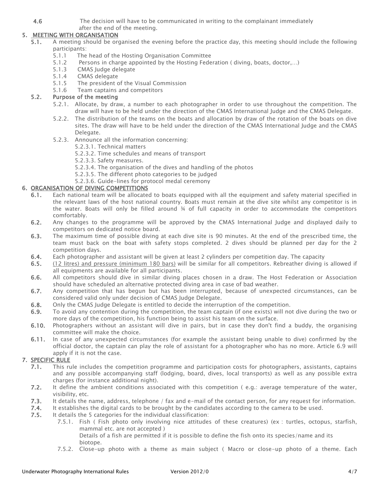4.6 The decision will have to be communicated in writing to the complainant immediately

#### after the end of the meeting. 5. MEETING WITH ORGANISATION

- 5.1. A meeting should be organised the evening before the practice day, this meeting should include the following participants:
	- 5.1.1 The head of the Hosting Organisation Committee
	- 5.1.2 Persons in charge appointed by the Hosting Federation ( diving, boats, doctor,…)
	- 5.1.3 CMAS Judge delegate
	- 5.1.4 CMAS delegate
	- 5.1.5 The president of the Visual Commission
	- 5.1.6 Team captains and competitors

#### 5.2. Purpose of the meeting

- 5.2.1. Allocate, by draw, a number to each photographer in order to use throughout the competition. The draw will have to be held under the direction of the CMAS International Judge and the CMAS Delegate.
- 5.2.2. The distribution of the teams on the boats and allocation by draw of the rotation of the boats on dive sites. The draw will have to be held under the direction of the CMAS International Judge and the CMAS Delegate.
- 5.2.3. Announce all the information concerning:
	- 5.2.3.1. Technical matters
	- 5.2.3.2. Time schedules and means of transport
	- 5.2.3.3. Safety measures.
	- 5.2.3.4. The organisation of the dives and handling of the photos
	- 5.2.3.5. The different photo categories to be judged
	- 5.2.3.6. Guide-lines for protocol medal ceremony

### 6. ORGANISATION OF DIVING COMPETITIONS

- 6.1. Each national team will be allocated to boats equipped with all the equipment and safety material specified in the relevant laws of the host national country. Boats must remain at the dive site whilst any competitor is in the water. Boats will only be filled around ¾ of full capacity in order to accommodate the competitors comfortably.
- 6.2. Any changes to the programme will be approved by the CMAS International Judge and displayed daily to competitors on dedicated notice board.
- 6.3. The maximum time of possible diving at each dive site is 90 minutes. At the end of the prescribed time, the team must back on the boat with safety stops completed. 2 dives should be planned per day for the 2 competition days.
- 6.4. Each photographer and assistant will be given at least 2 cylinders per competition day. The capacity
- 6.5. (12 litres) and pressure (minimum 180 bars) will be similar for all competitors. Rebreather diving is allowed if all equipments are available for all participants.
- 6.6. All competitors should dive in similar diving places chosen in a draw. The Host Federation or Association should have scheduled an alternative protected diving area in case of bad weather.
- 6.7. Any competition that has begun but has been interrupted, because of unexpected circumstances, can be considered valid only under decision of CMAS Judge Delegate.
- 6.8. Only the CMAS Judge Delegate is entitled to decide the interruption of the competition.
- 6.9. To avoid any contention during the competition, the team captain (if one exists) will not dive during the two or more days of the competition, his function being to assist his team on the surface.
- 6.10. Photographers without an assistant will dive in pairs, but in case they don't find a buddy, the organising committee will make the choice.
- 6.11. In case of any unexpected circumstances (for example the assistant being unable to dive) confirmed by the official doctor, the captain can play the role of assistant for a photographer who has no more. Article 6.9 will apply if it is not the case.

### 7. SPECIFIC RULE

- 7.1. This rule includes the competition programme and participation costs for photographers, assistants, captains and any possible accompanying staff (lodging, board, dives, local transports) as well as any possible extra charges (for instance additional night).
- 7.2. It define the ambient conditions associated with this competition (e.g.: average temperature of the water, visibility, etc.
- 7.3. It details the name, address, telephone / fax and e-mail of the contact person, for any request for information.
- 7.4. It establishes the digital cards to be brought by the candidates according to the camera to be used.
- 7.5. It details the 5 categories for the individual classification:
	- 7.5.1. Fish ( Fish photo only involving nice attitudes of these creatures) (ex : turtles, octopus, starfish, mammal etc. are not accepted )
		- Details of a fish are permitted if it is possible to define the fish onto its species/name and its biotope.
	- 7.5.2. Close-up photo with a theme as main subject ( Macro or close-up photo of a theme. Each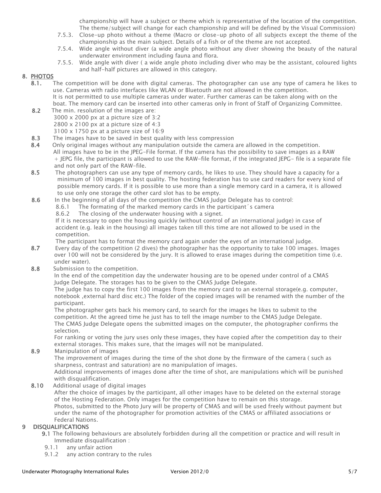championship will have a subject or theme which is representative of the location of the competition. The theme/subject will change for each championship and will be defined by the Visual Commission)

- 7.5.3. Close-up photo without a theme (Macro or close-up photo of all subjects except the theme of the championship as the main subject. Details of a fish or of the theme are not accepted.
- 7.5.4. Wide angle without diver (a wide angle photo without any diver showing the beauty of the natural underwater environment including fauna and flora.
- 7.5.5. Wide angle with diver ( a wide angle photo including diver who may be the assistant, coloured lights and half-half pictures are allowed in this category.

#### 8. PHOTOS

- 8.1. The competition will be done with digital cameras. The photographer can use any type of camera he likes to use. Cameras with radio interfaces like WLAN or Bluetouth are not allowed in the competition. It is not permitted to use multiple cameras under water. Further cameras can be taken along with on the boat. The memory card can be inserted into other cameras only in front of Staff of Organizing Committee.
- 8.2 The min. resolution of the images are:  $3000 \times 2000$  px at a picture size of 3:2 2800 x 2100 px at a picture size of 4:3  $3100 \times 1750$  px at a picture size of  $16:9$
- 8.3 The images have to be saved in best quality with less compression
- 8.4 Only original images without any manipulation outside the camera are allowed in the competition. All images have to be in the JPEG-File format. If the camera has the possibility to save images as a RAW + JEPG file, the participant is allowed to use the RAW-file format, if the integrated JEPG- file is a separate file and not only part of the RAW-file.
- 8.5 The photographers can use any type of memory cards, he likes to use. They should have a capacity for a minimum of 100 images in best quality. The hosting federation has to use card readers for every kind of possible memory cards. If it is possible to use more than a single memory card in a camera, it is allowed to use only one storage the other card slot has to be empty.
- 8.6 In the beginning of all days of the competition the CMAS Judge Delegate has to control:
	- 8.6.1 The formating of the marked memory cards in the participant´s camera
		- 8.6.2 The closing of the underwater housing with a signet.

If it is necessary to open the housing quickly (without control of an international judge) in case of accident (e.g. leak in the housing) all images taken till this time are not allowed to be used in the competition.

The participant has to format the memory card again under the eyes of an international judge.

- 8.7 Every day of the competition (2 dives) the photographer has the opportunity to take 100 images. Images over 100 will not be considered by the jury. It is allowed to erase images during the competition time (i.e. under water).
- 8.8 Submission to the competition.

In the end of the competition day the underwater housing are to be opened under control of a CMAS Judge Delegate. The storages has to be given to the CMAS Judge Delegate.

The judge has to copy the first 100 images from the memory card to an external storage(e.g. computer, notebook ,external hard disc etc.) The folder of the copied images will be renamed with the number of the participant.

The photographer gets back his memory card, to search for the images he likes to submit to the competition. At the agreed time he just has to tell the image number to the CMAS Judge Delegate. The CMAS Judge Delegate opens the submitted images on the computer, the photographer confirms the selection.

For ranking or voting the jury uses only these images, they have copied after the competition day to their external storages. This makes sure, that the images will not be manipulated.

8.9 Manipulation of images

The improvement of images during the time of the shot done by the firmware of the camera ( such as sharpness, contrast and saturation) are no manipulation of images.

Additional improvements of images done after the time of shot, are manipulations which will be punished with disqualification.

8.10 Additional usage of digital images

After the choice of images by the participant, all other images have to be deleted on the external storage of the Hosting Federation. Only images for the competition have to remain on this storage. Photos, submitted to the Photo Jury will be property of CMAS and will be used freely without payment but under the name of the photographer for promotion activities of the CMAS or affiliated associations or Federal Nations.

#### 9 DISQUALIFICATIONS

- 9.1 The following behaviours are absolutely forbidden during all the competition or practice and will result in Immediate disqualification :
- 9.1.1 any unfair action
- 9.1.2 any action contrary to the rules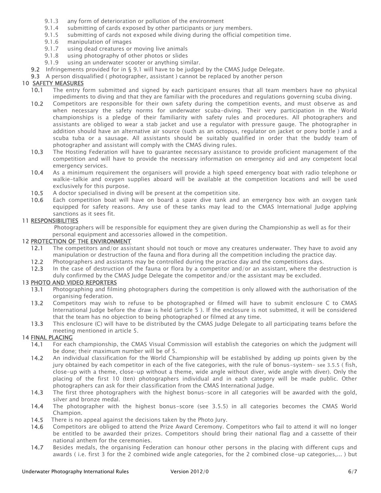- 9.1.3 any form of deterioration or pollution of the environment
- 9.1.4 submitting of cards exposed by other participants or jury members.
- 9.1.5 submitting of cards not exposed while diving during the official competition time.
- 9.1.6 manipulation of images
- 9.1.7 using dead creatures or moving live animals
- 9.1.8 using photography of other photos or slides
- 9.1.9 using an underwater scooter or anything similar.
- 9.2 Infringements provided for in § 9.1 will have to be judged by the CMAS Judge Delegate.

9.3 A person disqualified ( photographer, assistant ) cannot be replaced by another person

#### 10 SAFETY MEASURES

- 10.1 The entry form submitted and signed by each participant ensures that all team members have no physical impediments to diving and that they are familiar with the procedures and regulations governing scuba diving.
- 10.2 Competitors are responsible for their own safety during the competition events, and must observe as and when necessary the safety norms for underwater scuba-diving. Their very participation in the World championships is a pledge of their familiarity with safety rules and procedures. All photographers and assistants are obliged to wear a stab jacket and use a regulator with pressure gauge. The photographer in addition should have an alternative air source (such as an octopus, regulator on jacket or pony bottle ) and a scuba tuba or a sausage. All assistants should be suitably qualified in order that the buddy team of photographer and assistant will comply with the CMAS diving rules.
- 10.3 The Hosting Federation will have to guarantee necessary assistance to provide proficient management of the competition and will have to provide the necessary information on emergency aid and any competent local emergency services.
- 10.4 As a minimum requirement the organisers will provide a high speed emergency boat with radio telephone or walkie-talkie and oxygen supplies aboard will be available at the competition locations and will be used exclusively for this purpose.
- 10.5 A doctor specialised in diving will be present at the competition site.
- 10.6 Each competition boat will have on board a spare dive tank and an emergency box with an oxygen tank equipped for safety reasons. Any use of these tanks may lead to the CMAS International Judge applying sanctions as it sees fit.

#### 11 RESPONSIBILITIES

 Photographers will be responsible for equipment they are given during the Championship as well as for their personal equipment and accessories allowed in the competition.

#### 12 PROTECTION OF THE ENVIRONMENT

- 12.1 The competitors and/or assistant should not touch or move any creatures underwater. They have to avoid any manipulation or destruction of the fauna and flora during all the competition including the practice day.
- 12.2 Photographers and assistants may be controlled during the practice day and the competitions days.
- 12.3 In the case of destruction of the fauna or flora by a competitor and/or an assistant, where the destruction is duly confirmed by the CMAS Judge Delegate the competitor and/or the assistant may be excluded.

#### 13 PHOTO AND VIDEO REPORTERS

- 13.1 Photographing and filming photographers during the competition is only allowed with the authorisation of the organising federation.
- 13.2 Competitors may wish to refuse to be photographed or filmed will have to submit enclosure C to CMAS International Judge before the draw is held (article 5 ). If the enclosure is not submitted, it will be considered that the team has no objection to being photographed or filmed at any time.
- 13.3 This enclosure (C) will have to be distributed by the CMAS Judge Delegate to all participating teams before the meeting mentioned in article 5.

#### 14 FINAL PLACING

- 14.1 For each championship, the CMAS Visual Commission will establish the categories on which the judgment will be done; their maximum number will be of 5.
- 14.2 An individual classification for the World Championship will be established by adding up points given by the jury obtained by each competitor in each of the five categories, with the rule of bonus-system- see 3.5.5 ( fish, close-up with a theme, close-up without a theme, wide angle without diver, wide angle with diver). Only the placing of the first 10 (ten) photographers individual and in each category will be made public. Other photographers can ask for their classification from the CMAS International Judge.
- 14.3 The first three photographers with the highest bonus-score in all categories will be awarded with the gold, silver and bronze medal.
- 14.4 The photographer with the highest bonus-score (see 3.5.5) in all categories becomes the CMAS World Champion.
- 14.5 There is no appeal against the decisions taken by the Photo Jury.
- 14.6 Competitors are obliged to attend the Prize Award Ceremony. Competitors who fail to attend it will no longer be entitled to be awarded their prizes. Competitors should bring their national flag and a cassette of their national anthem for the ceremonies.
- 14.7 Besides medals, the organising Federation can honour other persons in the placing with different cups and awards ( i.e. first 3 for the 2 combined wide angle categories, for the 2 combined close-up categories,... ) but